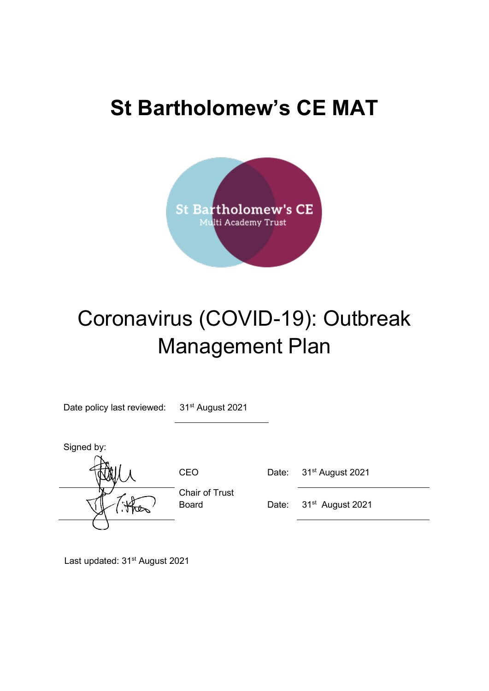## **St Bartholomew's CE MAT**



# Coronavirus (COVID-19): Outbreak Management Plan

Date policy last reviewed: 31<sup>st</sup> August 2021

Signed by:

Chair of Trust

CEO Date: 31<sup>st</sup> August 2021

Board Date: 31<sup>st</sup> August 2021

Last updated: 31<sup>st</sup> August 2021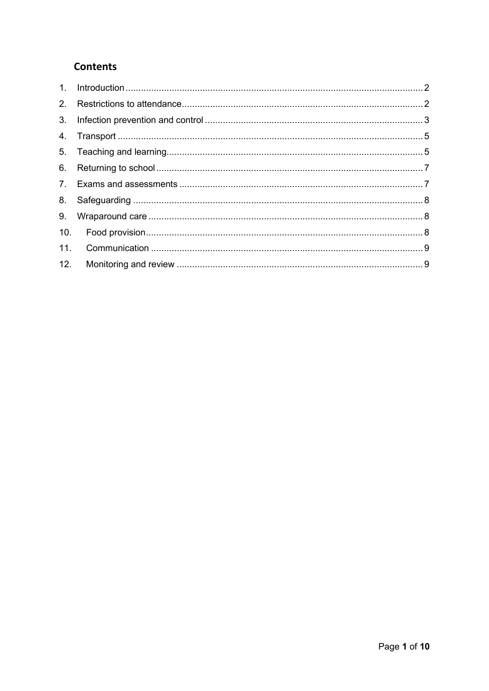## **Contents**

| 3.  |  |
|-----|--|
|     |  |
|     |  |
|     |  |
|     |  |
|     |  |
| 9.  |  |
|     |  |
|     |  |
| 12. |  |
|     |  |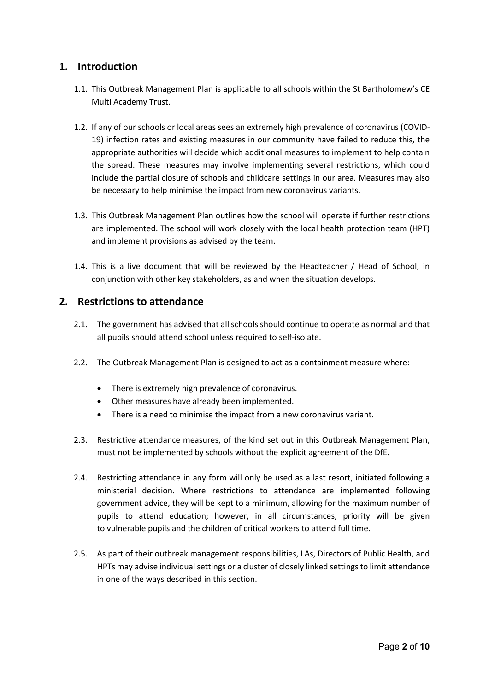## <span id="page-2-0"></span>**1. Introduction**

- 1.1. This Outbreak Management Plan is applicable to all schools within the St Bartholomew's CE Multi Academy Trust.
- 1.2. If any of our schools or local areas sees an extremely high prevalence of coronavirus (COVID-19) infection rates and existing measures in our community have failed to reduce this, the appropriate authorities will decide which additional measures to implement to help contain the spread. These measures may involve implementing several restrictions, which could include the partial closure of schools and childcare settings in our area. Measures may also be necessary to help minimise the impact from new coronavirus variants.
- 1.3. This Outbreak Management Plan outlines how the school will operate if further restrictions are implemented. The school will work closely with the local health protection team (HPT) and implement provisions as advised by the team.
- 1.4. This is a live document that will be reviewed by the Headteacher / Head of School, in conjunction with other key stakeholders, as and when the situation develops.

## <span id="page-2-1"></span>**2. Restrictions to attendance**

- 2.1. The government has advised that all schools should continue to operate as normal and that all pupils should attend school unless required to self-isolate.
- 2.2. The Outbreak Management Plan is designed to act as a containment measure where:
	- There is extremely high prevalence of coronavirus.
	- Other measures have already been implemented.
	- There is a need to minimise the impact from a new coronavirus variant.
- 2.3. Restrictive attendance measures, of the kind set out in this Outbreak Management Plan, must not be implemented by schools without the explicit agreement of the DfE.
- 2.4. Restricting attendance in any form will only be used as a last resort, initiated following a ministerial decision. Where restrictions to attendance are implemented following government advice, they will be kept to a minimum, allowing for the maximum number of pupils to attend education; however, in all circumstances, priority will be given to vulnerable pupils and the children of critical workers to attend full time.
- 2.5. As part of their outbreak management responsibilities, LAs, Directors of Public Health, and HPTs may advise individual settings or a cluster of closely linked settings to limit attendance in one of the ways described in this section.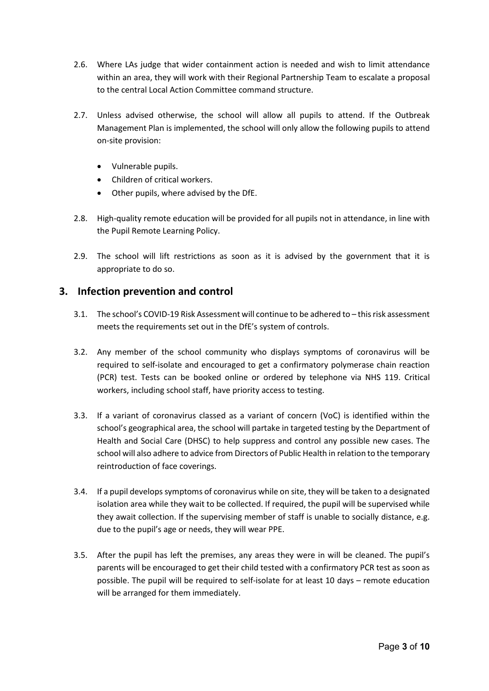- 2.6. Where LAs judge that wider containment action is needed and wish to limit attendance within an area, they will work with their Regional Partnership Team to escalate a proposal to the central Local Action Committee command structure.
- 2.7. Unless advised otherwise, the school will allow all pupils to attend. If the Outbreak Management Plan is implemented, the school will only allow the following pupils to attend on-site provision:
	- Vulnerable pupils.
	- Children of critical workers.
	- Other pupils, where advised by the DfE.
- 2.8. High-quality remote education will be provided for all pupils not in attendance, in line with the Pupil Remote Learning Policy.
- 2.9. The school will lift restrictions as soon as it is advised by the government that it is appropriate to do so.

## <span id="page-3-0"></span>**3. Infection prevention and control**

- 3.1. The school's COVID-19 Risk Assessment will continue to be adhered to this risk assessment meets the requirements set out in the DfE's system of controls.
- 3.2. Any member of the school community who displays symptoms of coronavirus will be required to self-isolate and encouraged to get a confirmatory polymerase chain reaction (PCR) test. Tests can be booked online or ordered by telephone via NHS 119. Critical workers, including school staff, have priority access to testing.
- 3.3. If a variant of coronavirus classed as a variant of concern (VoC) is identified within the school's geographical area, the school will partake in targeted testing by the Department of Health and Social Care (DHSC) to help suppress and control any possible new cases. The school will also adhere to advice from Directors of Public Health in relation to the temporary reintroduction of face coverings.
- 3.4. If a pupil develops symptoms of coronavirus while on site, they will be taken to a designated isolation area while they wait to be collected. If required, the pupil will be supervised while they await collection. If the supervising member of staff is unable to socially distance, e.g. due to the pupil's age or needs, they will wear PPE.
- 3.5. After the pupil has left the premises, any areas they were in will be cleaned. The pupil's parents will be encouraged to get their child tested with a confirmatory PCR test as soon as possible. The pupil will be required to self-isolate for at least 10 days – remote education will be arranged for them immediately.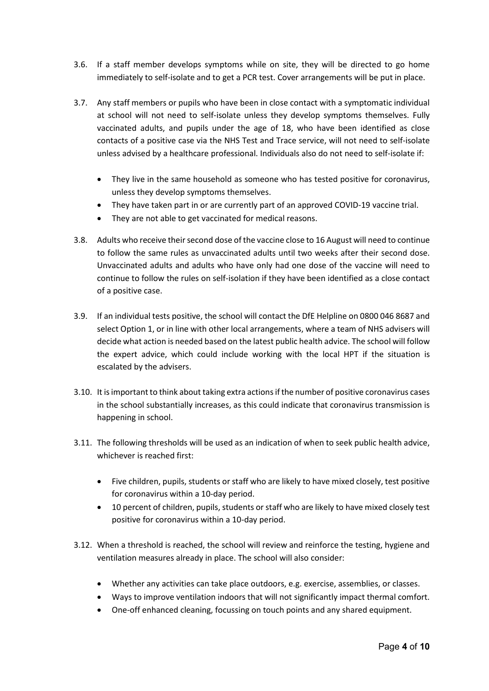- 3.6. If a staff member develops symptoms while on site, they will be directed to go home immediately to self-isolate and to get a PCR test. Cover arrangements will be put in place.
- 3.7. Any staff members or pupils who have been in close contact with a symptomatic individual at school will not need to self-isolate unless they develop symptoms themselves. Fully vaccinated adults, and pupils under the age of 18, who have been identified as close contacts of a positive case via the NHS Test and Trace service, will not need to self-isolate unless advised by a healthcare professional. Individuals also do not need to self-isolate if:
	- They live in the same household as someone who has tested positive for coronavirus, unless they develop symptoms themselves.
	- They have taken part in or are currently part of an approved COVID-19 vaccine trial.
	- They are not able to get vaccinated for medical reasons.
- 3.8. Adults who receive their second dose of the vaccine close to 16 August will need to continue to follow the same rules as unvaccinated adults until two weeks after their second dose. Unvaccinated adults and adults who have only had one dose of the vaccine will need to continue to follow the rules on self-isolation if they have been identified as a close contact of a positive case.
- 3.9. If an individual tests positive, the school will contact the DfE Helpline on 0800 046 8687 and select Option 1, or in line with other local arrangements, where a team of NHS advisers will decide what action is needed based on the latest public health advice. The school will follow the expert advice, which could include working with the local HPT if the situation is escalated by the advisers.
- 3.10. It is important to think about taking extra actions if the number of positive coronavirus cases in the school substantially increases, as this could indicate that coronavirus transmission is happening in school.
- 3.11. The following thresholds will be used as an indication of when to seek public health advice, whichever is reached first:
	- Five children, pupils, students or staff who are likely to have mixed closely, test positive for coronavirus within a 10-day period.
	- 10 percent of children, pupils, students or staff who are likely to have mixed closely test positive for coronavirus within a 10-day period.
- 3.12. When a threshold is reached, the school will review and reinforce the testing, hygiene and ventilation measures already in place. The school will also consider:
	- Whether any activities can take place outdoors, e.g. exercise, assemblies, or classes.
	- Ways to improve ventilation indoors that will not significantly impact thermal comfort.
	- One-off enhanced cleaning, focussing on touch points and any shared equipment.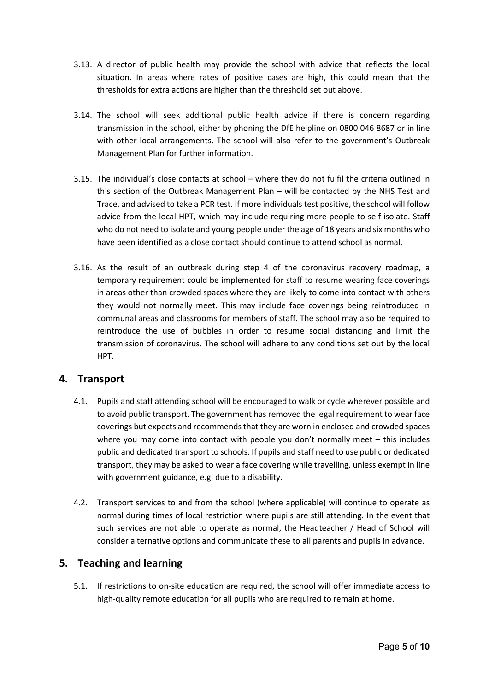- 3.13. A director of public health may provide the school with advice that reflects the local situation. In areas where rates of positive cases are high, this could mean that the thresholds for extra actions are higher than the threshold set out above.
- 3.14. The school will seek additional public health advice if there is concern regarding transmission in the school, either by phoning the DfE helpline on 0800 046 8687 or in line with other local arrangements. The school will also refer to the government's [Outbreak](https://www.gov.uk/government/publications/coronavirus-covid-19-local-restrictions-in-education-and-childcare-settings)  [Management Plan](https://www.gov.uk/government/publications/coronavirus-covid-19-local-restrictions-in-education-and-childcare-settings) for further information.
- 3.15. The individual's close contacts at school where they do not fulfil the criteria outlined in this section of the Outbreak Management Plan – will be contacted by the NHS Test and Trace, and advised to take a PCR test. If more individuals test positive, the school will follow advice from the local HPT, which may include requiring more people to self-isolate. Staff who do not need to isolate and young people under the age of 18 years and six months who have been identified as a close contact should continue to attend school as normal.
- 3.16. As the result of an outbreak during step 4 of the coronavirus recovery roadmap, a temporary requirement could be implemented for staff to resume wearing face coverings in areas other than crowded spaces where they are likely to come into contact with others they would not normally meet. This may include face coverings being reintroduced in communal areas and classrooms for members of staff. The school may also be required to reintroduce the use of bubbles in order to resume social distancing and limit the transmission of coronavirus. The school will adhere to any conditions set out by the local HPT.

#### <span id="page-5-0"></span>**4. Transport**

- 4.1. Pupils and staff attending school will be encouraged to walk or cycle wherever possible and to avoid public transport. The government has removed the legal requirement to wear face coverings but expects and recommends that they are worn in enclosed and crowded spaces where you may come into contact with people you don't normally meet – this includes public and dedicated transport to schools. If pupils and staff need to use public or dedicated transport, they may be asked to wear a face covering while travelling, unless exempt in line with government guidance, e.g. due to a disability.
- 4.2. Transport services to and from the school (where applicable) will continue to operate as normal during times of local restriction where pupils are still attending. In the event that such services are not able to operate as normal, the Headteacher / Head of School will consider alternative options and communicate these to all parents and pupils in advance.

#### <span id="page-5-1"></span>**5. Teaching and learning**

5.1. If restrictions to on-site education are required, the school will offer immediate access to high-quality remote education for all pupils who are required to remain at home.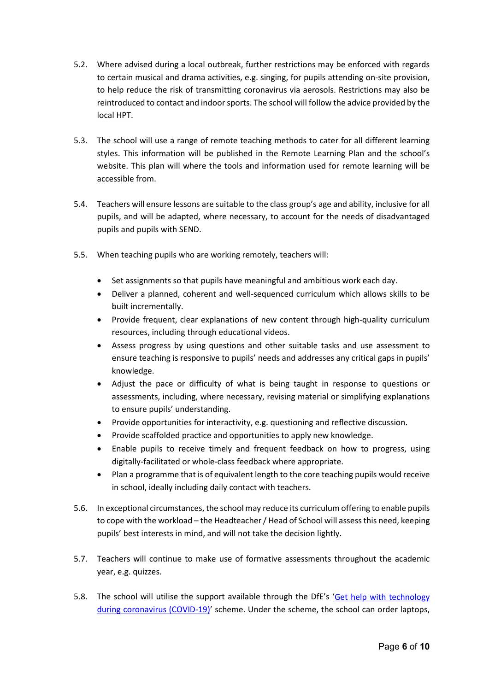- 5.2. Where advised during a local outbreak, further restrictions may be enforced with regards to certain musical and drama activities, e.g. singing, for pupils attending on-site provision, to help reduce the risk of transmitting coronavirus via aerosols. Restrictions may also be reintroduced to contact and indoor sports. The school will follow the advice provided by the local HPT.
- 5.3. The school will use a range of remote teaching methods to cater for all different learning styles. This information will be published in the Remote Learning Plan and the school's website. This plan will where the tools and information used for remote learning will be accessible from.
- 5.4. Teachers will ensure lessons are suitable to the class group's age and ability, inclusive for all pupils, and will be adapted, where necessary, to account for the needs of disadvantaged pupils and pupils with SEND.
- 5.5. When teaching pupils who are working remotely, teachers will:
	- Set assignments so that pupils have meaningful and ambitious work each day.
	- Deliver a planned, coherent and well-sequenced curriculum which allows skills to be built incrementally.
	- Provide frequent, clear explanations of new content through high-quality curriculum resources, including through educational videos.
	- Assess progress by using questions and other suitable tasks and use assessment to ensure teaching is responsive to pupils' needs and addresses any critical gaps in pupils' knowledge.
	- Adjust the pace or difficulty of what is being taught in response to questions or assessments, including, where necessary, revising material or simplifying explanations to ensure pupils' understanding.
	- Provide opportunities for interactivity, e.g. questioning and reflective discussion.
	- Provide scaffolded practice and opportunities to apply new knowledge.
	- Enable pupils to receive timely and frequent feedback on how to progress, using digitally-facilitated or whole-class feedback where appropriate.
	- Plan a programme that is of equivalent length to the core teaching pupils would receive in school, ideally including daily contact with teachers.
- 5.6. In exceptional circumstances, the school may reduce its curriculum offering to enable pupils to cope with the workload – the Headteacher/ Head of School will assess this need, keeping pupils' best interests in mind, and will not take the decision lightly.
- 5.7. Teachers will continue to make use of formative assessments throughout the academic year, e.g. quizzes.
- 5.8. The school will utilise the support available through the DfE's 'Get help with technology [during coronavirus \(COVID-19\)'](https://www.gov.uk/guidance/get-help-with-technology-for-remote-education-during-coronavirus-covid-19) scheme. Under the scheme, the school can order laptops,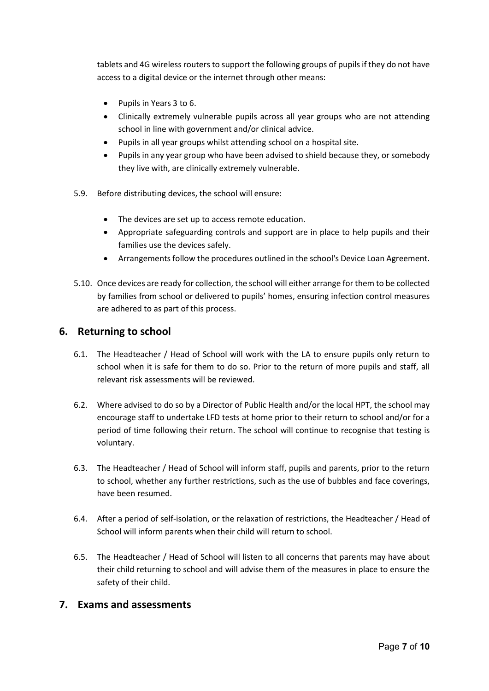tablets and 4G wireless routers to support the following groups of pupils if they do not have access to a digital device or the internet through other means:

- Pupils in Years 3 to 6.
- Clinically extremely vulnerable pupils across all year groups who are not attending school in line with government and/or clinical advice.
- Pupils in all year groups whilst attending school on a hospital site.
- Pupils in any year group who have been advised to shield because they, or somebody they live with, are clinically extremely vulnerable.
- 5.9. Before distributing devices, the school will ensure:
	- The devices are set up to access remote education.
	- Appropriate safeguarding controls and support are in place to help pupils and their families use the devices safely.
	- Arrangements follow the procedures outlined in the school's Device Loan Agreement.
- 5.10. Once devices are ready for collection, the school will either arrange for them to be collected by families from school or delivered to pupils' homes, ensuring infection control measures are adhered to as part of this process.

#### <span id="page-7-0"></span>**6. Returning to school**

- 6.1. The Headteacher / Head of School will work with the LA to ensure pupils only return to school when it is safe for them to do so. Prior to the return of more pupils and staff, all relevant risk assessments will be reviewed.
- 6.2. Where advised to do so by a Director of Public Health and/or the local HPT, the school may encourage staff to undertake LFD tests at home prior to their return to school and/or for a period of time following their return. The school will continue to recognise that testing is voluntary.
- 6.3. The Headteacher / Head of School will inform staff, pupils and parents, prior to the return to school, whether any further restrictions, such as the use of bubbles and face coverings, have been resumed.
- 6.4. After a period of self-isolation, or the relaxation of restrictions, the Headteacher / Head of School will inform parents when their child will return to school.
- 6.5. The Headteacher / Head of School will listen to all concerns that parents may have about their child returning to school and will advise them of the measures in place to ensure the safety of their child.

#### <span id="page-7-1"></span>**7. Exams and assessments**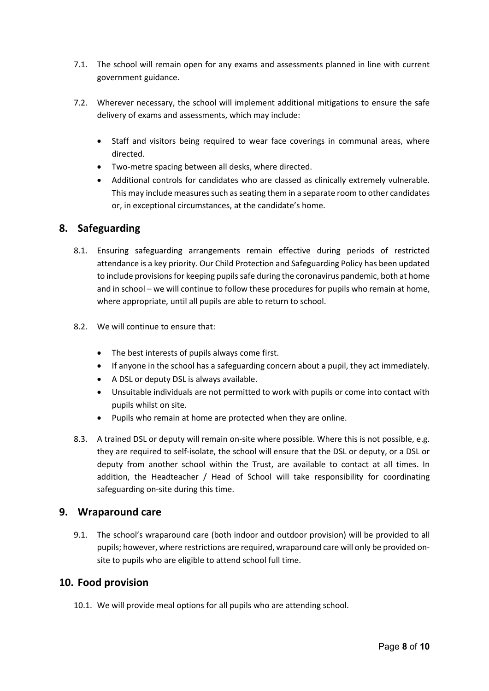- 7.1. The school will remain open for any exams and assessments planned in line with current government guidance.
- 7.2. Wherever necessary, the school will implement additional mitigations to ensure the safe delivery of exams and assessments, which may include:
	- Staff and visitors being required to wear face coverings in communal areas, where directed.
	- Two-metre spacing between all desks, where directed.
	- Additional controls for candidates who are classed as clinically extremely vulnerable. This may include measures such as seating them in a separate room to other candidates or, in exceptional circumstances, at the candidate's home.

## <span id="page-8-0"></span>**8. Safeguarding**

- 8.1. Ensuring safeguarding arrangements remain effective during periods of restricted attendance is a key priority. Our Child Protection and Safeguarding Policy has been updated to include provisions for keeping pupils safe during the coronavirus pandemic, both at home and in school – we will continue to follow these procedures for pupils who remain at home, where appropriate, until all pupils are able to return to school.
- 8.2. We will continue to ensure that:
	- The best interests of pupils always come first.
	- If anyone in the school has a safeguarding concern about a pupil, they act immediately.
	- A DSL or deputy DSL is always available.
	- Unsuitable individuals are not permitted to work with pupils or come into contact with pupils whilst on site.
	- Pupils who remain at home are protected when they are online.
- 8.3. A trained DSL or deputy will remain on-site where possible. Where this is not possible, e.g. they are required to self-isolate, the school will ensure that the DSL or deputy, or a DSL or deputy from another school within the Trust, are available to contact at all times. In addition, the Headteacher / Head of School will take responsibility for coordinating safeguarding on-site during this time.

#### <span id="page-8-1"></span>**9. Wraparound care**

9.1. The school's wraparound care (both indoor and outdoor provision) will be provided to all pupils; however, where restrictions are required, wraparound care will only be provided onsite to pupils who are eligible to attend school full time.

#### <span id="page-8-2"></span>**10. Food provision**

10.1. We will provide meal options for all pupils who are attending school.